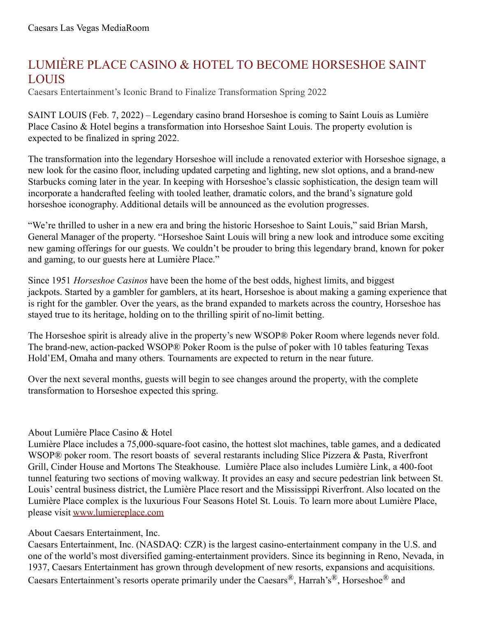## LUMIÈRE PLACE CASINO & HOTEL TO BECOME HORSESHOE SAINT LOUIS

Caesars Entertainment's Iconic Brand to Finalize Transformation Spring 2022

SAINT LOUIS (Feb. 7, 2022) – Legendary casino brand Horseshoe is coming to Saint Louis as Lumière Place Casino & Hotel begins a transformation into Horseshoe Saint Louis. The property evolution is expected to be finalized in spring 2022.

The transformation into the legendary Horseshoe will include a renovated exterior with Horseshoe signage, a new look for the casino floor, including updated carpeting and lighting, new slot options, and a brand-new Starbucks coming later in the year. In keeping with Horseshoe's classic sophistication, the design team will incorporate a handcrafted feeling with tooled leather, dramatic colors, and the brand's signature gold horseshoe iconography. Additional details will be announced as the evolution progresses.

"We're thrilled to usher in a new era and bring the historic Horseshoe to Saint Louis," said Brian Marsh, General Manager of the property. "Horseshoe Saint Louis will bring a new look and introduce some exciting new gaming offerings for our guests. We couldn't be prouder to bring this legendary brand, known for poker and gaming, to our guests here at Lumière Place."

Since 1951 *Horseshoe Casinos* have been the home of the best odds, highest limits, and biggest jackpots. Started by a gambler for gamblers, at its heart, Horseshoe is about making a gaming experience that is right for the gambler. Over the years, as the brand expanded to markets across the country, Horseshoe has stayed true to its heritage, holding on to the thrilling spirit of no-limit betting.

The Horseshoe spirit is already alive in the property's new WSOP® Poker Room where legends never fold. The brand-new, action-packed WSOP® Poker Room is the pulse of poker with 10 tables featuring Texas Hold'EM, Omaha and many others. Tournaments are expected to return in the near future.

Over the next several months, guests will begin to see changes around the property, with the complete transformation to Horseshoe expected this spring.

## About Lumière Place Casino & Hotel

Lumière Place includes a 75,000-square-foot casino, the hottest slot machines, table games, and a dedicated WSOP<sup>®</sup> poker room. The resort boasts of several restarants including Slice Pizzera & Pasta, Riverfront Grill, Cinder House and Mortons The Steakhouse. Lumière Place also includes Lumière Link, a 400-foot tunnel featuring two sections of moving walkway. It provides an easy and secure pedestrian link between St. Louis' central business district, the Lumière Place resort and the Mississippi Riverfront. Also located on the Lumière Place complex is the luxurious Four Seasons Hotel St. Louis. To learn more about Lumière Place, please visit [www.lumiereplace.com](http://www.lumiereplace.com/)

## About Caesars Entertainment, Inc.

Caesars Entertainment, Inc. (NASDAQ: CZR) is the largest casino-entertainment company in the U.S. and one of the world's most diversified gaming-entertainment providers. Since its beginning in Reno, Nevada, in 1937, Caesars Entertainment has grown through development of new resorts, expansions and acquisitions. Caesars Entertainment's resorts operate primarily under the Caesars®, Harrah's®, Horseshoe® and